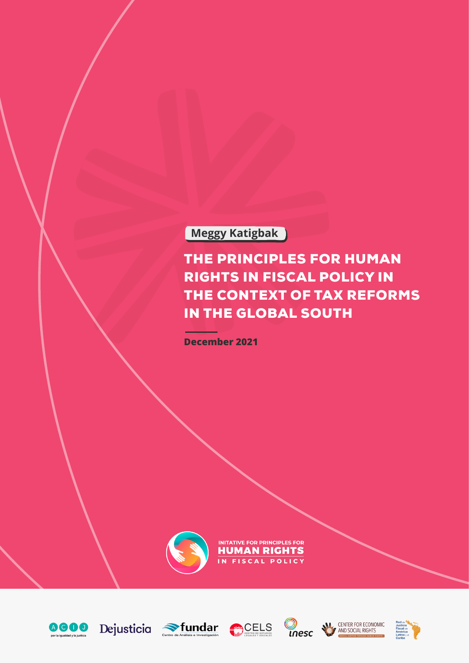# **Meggy Katigbak**

# THE PRINCIPLES FOR HUMAN RIGHTS IN FISCAL POLICY IN THE CONTEXT OF TAX REFORMS IN THE GLOBAL SOUTH

**December 2021**



INITATIVE FOR PRINCIPLES FOR **HUMAN RIGHTS** IN FISCAL POLICY













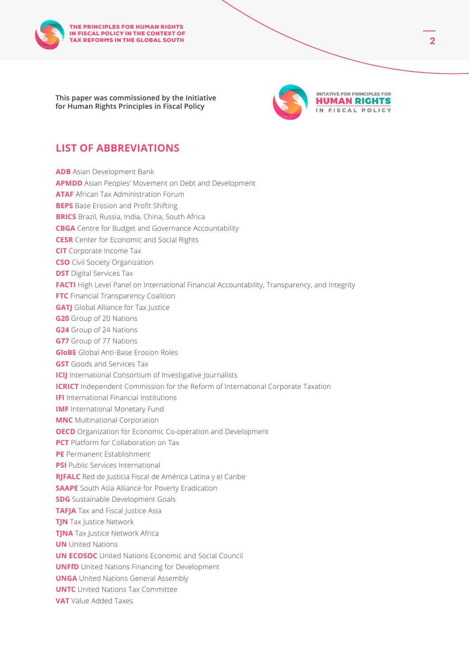

**This paper was commissioned by the Initiative for Human Rights Principles in Fiscal Policy**



## **LIST OF ABBREVIATIONS**

| <b>ADB</b> Asian Development Bank                                                             |
|-----------------------------------------------------------------------------------------------|
| <b>APMDD</b> Asian Peoples' Movement on Debt and Development                                  |
| <b>ATAF</b> African Tax Administration Forum                                                  |
| <b>BEPS</b> Base Erosion and Profit Shifting                                                  |
| <b>BRICS</b> Brazil, Russia, India, China, South Africa                                       |
| <b>CBGA</b> Centre for Budget and Governance Accountability                                   |
| <b>CESR</b> Center for Economic and Social Rights                                             |
| <b>CIT</b> Corporate Income Tax                                                               |
| <b>CSO</b> Civil Society Organization                                                         |
| <b>DST</b> Digital Services Tax                                                               |
| FACTI High Level Panel on International Financial Accountability, Transparency, and Integrity |
| FTC Financial Transparency Coalition                                                          |
| <b>GATJ</b> Global Alliance for Tax Justice                                                   |
| <b>G20</b> Group of 20 Nations                                                                |
| <b>G24</b> Group of 24 Nations                                                                |
| <b>G77</b> Group of 77 Nations                                                                |
| <b>GloBE</b> Global Anti-Base Erosion Roles                                                   |
| <b>GST</b> Goods and Services Tax                                                             |
| <b>ICIJ</b> International Consortium of Investigative Journalists                             |
| <b>ICRICT</b> Independent Commission for the Reform of International Corporate Taxation       |
| <b>IFI</b> International Financial Institutions                                               |
| <b>IMF</b> International Monetary Fund                                                        |
| <b>MNC</b> Multinational Corporation                                                          |
| <b>OECD</b> Organization for Economic Co-operation and Development                            |
| <b>PCT</b> Platform for Collaboration on Tax                                                  |
| PE Permanent Establishment                                                                    |
| <b>PSI</b> Public Services International                                                      |
| RJFALC Red de Justicia Fiscal de América Latina y el Caribe                                   |
| <b>SAAPE</b> South Asia Alliance for Poverty Eradication                                      |
| <b>SDG</b> Sustainable Development Goals                                                      |
| <b>TAFJA</b> Tax and Fiscal Justice Asia                                                      |
| <b>TJN</b> Tax Justice Network                                                                |
| <b>TJNA</b> Tax Justice Network Africa                                                        |
| <b>UN</b> United Nations                                                                      |
| <b>UN ECOSOC</b> United Nations Economic and Social Council                                   |
| <b>UNFfD</b> United Nations Financing for Development                                         |
| <b>UNGA</b> United Nations General Assembly                                                   |
| <b>UNTC</b> United Nations Tax Committee                                                      |
| <b>VAT</b> Value Added Taxes                                                                  |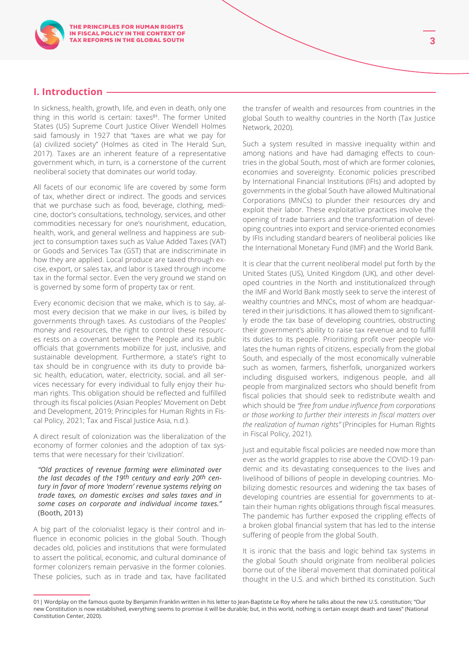## **I. Introduction**

In sickness, health, growth, life, and even in death, only one thing in this world is certain: taxes<sup>01</sup>. The former United States (US) Supreme Court Justice Oliver Wendell Holmes said famously in 1927 that "taxes are what we pay for (a) civilized society" (Holmes as cited in The Herald Sun, 2017). Taxes are an inherent feature of a representative government which, in turn, is a cornerstone of the current neoliberal society that dominates our world today.

All facets of our economic life are covered by some form of tax, whether direct or indirect. The goods and services that we purchase such as food, beverage, clothing, medicine, doctor's consultations, technology, services, and other commodities necessary for one's nourishment, education, health, work, and general wellness and happiness are subject to consumption taxes such as Value Added Taxes (VAT) or Goods and Services Tax (GST) that are indiscriminate in how they are applied. Local produce are taxed through excise, export, or sales tax, and labor is taxed through income tax in the formal sector. Even the very ground we stand on is governed by some form of property tax or rent.

Every economic decision that we make, which is to say, almost every decision that we make in our lives, is billed by governments through taxes. As custodians of the Peoples' money and resources, the right to control these resources rests on a covenant between the People and its public officials that governments mobilize for just, inclusive, and sustainable development. Furthermore, a state's right to tax should be in congruence with its duty to provide basic health, education, water, electricity, social, and all services necessary for every individual to fully enjoy their human rights. This obligation should be reflected and fulfilled through its fiscal policies (Asian Peoples' Movement on Debt and Development, 2019; Principles for Human Rights in Fiscal Policy, 2021; Tax and Fiscal Justice Asia, n.d.).

A direct result of colonization was the liberalization of the economy of former colonies and the adoption of tax systems that were necessary for their 'civilization'.

*"Old practices of revenue farming were eliminated over the last decades of the 19th century and early 20th century in favor of more 'modern' revenue systems relying on trade taxes, on domestic excises and sales taxes and in some cases on corporate and individual income taxes."*  (Booth, 2013)

A big part of the colonialist legacy is their control and influence in economic policies in the global South. Though decades old, policies and institutions that were formulated to assert the political, economic, and cultural dominance of former colonizers remain pervasive in the former colonies. These policies, such as in trade and tax, have facilitated

the transfer of wealth and resources from countries in the global South to wealthy countries in the North (Tax Justice Network, 2020).

Such a system resulted in massive inequality within and among nations and have had damaging effects to countries in the global South, most of which are former colonies, economies and sovereignty. Economic policies prescribed by International Financial Institutions (IFIs) and adopted by governments in the global South have allowed Multinational Corporations (MNCs) to plunder their resources dry and exploit their labor. These exploitative practices involve the opening of trade barriers and the transformation of developing countries into export and service-oriented economies by IFIs including standard bearers of neoliberal policies like the International Monetary Fund (IMF) and the World Bank.

It is clear that the current neoliberal model put forth by the United States (US), United Kingdom (UK), and other developed countries in the North and institutionalized through the IMF and World Bank mostly seek to serve the interest of wealthy countries and MNCs, most of whom are headquartered in their jurisdictions. It has allowed them to significantly erode the tax base of developing countries, obstructing their government's ability to raise tax revenue and to fulfill its duties to its people. Prioritizing profit over people violates the human rights of citizens, especially from the global South, and especially of the most economically vulnerable such as women, farmers, fisherfolk, unorganized workers including disguised workers, indigenous people, and all people from marginalized sectors who should benefit from fiscal policies that should seek to redistribute wealth and which should be *"free from undue influence from corporations or those working to further their interests in fiscal matters over the realization of human rights"* (Principles for Human Rights in Fiscal Policy, 2021).

Just and equitable fiscal policies are needed now more than ever as the world grapples to rise above the COVID-19 pandemic and its devastating consequences to the lives and livelihood of billions of people in developing countries. Mobilizing domestic resources and widening the tax bases of developing countries are essential for governments to attain their human rights obligations through fiscal measures. The pandemic has further exposed the crippling effects of a broken global financial system that has led to the intense suffering of people from the global South.

It is ironic that the basis and logic behind tax systems in the global South should originate from neoliberal policies borne out of the liberal movement that dominated political thought in the U.S. and which birthed its constitution. Such

<sup>01|</sup> Wordplay on the famous quote by Benjamin Franklin written in his letter to Jean-Baptiste Le Roy where he talks about the new U.S. constitution; "Our new Constitution is now established, everything seems to promise it will be durable; but, in this world, nothing is certain except death and taxes" (National Constitution Center, 2020).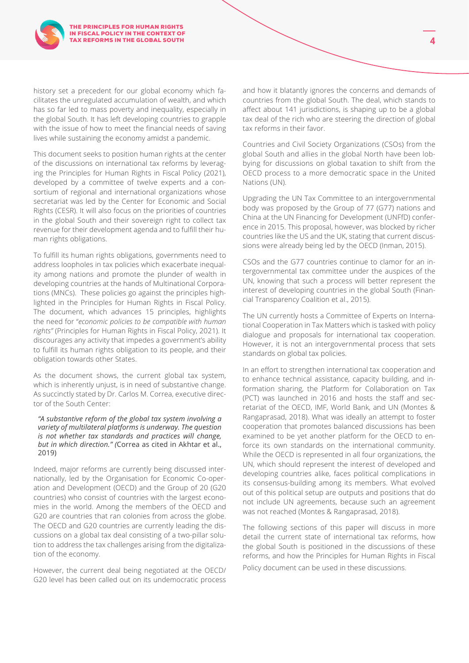

history set a precedent for our global economy which facilitates the unregulated accumulation of wealth, and which has so far led to mass poverty and inequality, especially in the global South. It has left developing countries to grapple with the issue of how to meet the financial needs of saving lives while sustaining the economy amidst a pandemic.

This document seeks to position human rights at the center of the discussions on international tax reforms by leveraging the Principles for Human Rights in Fiscal Policy (2021), developed by a committee of twelve experts and a consortium of regional and international organizations whose secretariat was led by the Center for Economic and Social Rights (CESR). It will also focus on the priorities of countries in the global South and their sovereign right to collect tax revenue for their development agenda and to fulfill their human rights obligations.

To fulfill its human rights obligations, governments need to address loopholes in tax policies which exacerbate inequality among nations and promote the plunder of wealth in developing countries at the hands of Multinational Corporations (MNCs). These policies go against the principles highlighted in the Principles for Human Rights in Fiscal Policy. The document, which advances 15 principles, highlights the need for "*economic policies to be compatible with human rights"* (Principles for Human Rights in Fiscal Policy, 2021). It discourages any activity that impedes a government's ability to fulfill its human rights obligation to its people, and their obligation towards other States.

As the document shows, the current global tax system, which is inherently unjust, is in need of substantive change. As succinctly stated by Dr. Carlos M. Correa, executive director of the South Center:

#### *"A substantive reform of the global tax system involving a variety of multilateral platforms is underway. The question is not whether tax standards and practices will change, but in which direction." (*Correa as cited in Akhtar et al., 2019)

Indeed, major reforms are currently being discussed internationally, led by the Organisation for Economic Co-operation and Development (OECD) and the Group of 20 (G20 countries) who consist of countries with the largest economies in the world. Among the members of the OECD and G20 are countries that ran colonies from across the globe. The OECD and G20 countries are currently leading the discussions on a global tax deal consisting of a two-pillar solution to address the tax challenges arising from the digitalization of the economy.

However, the current deal being negotiated at the OECD/ G20 level has been called out on its undemocratic process

and how it blatantly ignores the concerns and demands of countries from the global South. The deal, which stands to affect about 141 jurisdictions, is shaping up to be a global tax deal of the rich who are steering the direction of global tax reforms in their favor.

Countries and Civil Society Organizations (CSOs) from the global South and allies in the global North have been lobbying for discussions on global taxation to shift from the OECD process to a more democratic space in the United Nations (UN).

Upgrading the UN Tax Committee to an intergovernmental body was proposed by the Group of 77 (G77) nations and China at the UN Financing for Development (UNFfD) conference in 2015. This proposal, however, was blocked by richer countries like the US and the UK, stating that current discussions were already being led by the OECD (Inman, 2015).

CSOs and the G77 countries continue to clamor for an intergovernmental tax committee under the auspices of the UN, knowing that such a process will better represent the interest of developing countries in the global South (Financial Transparency Coalition et al., 2015).

The UN currently hosts a Committee of Experts on International Cooperation in Tax Matters which is tasked with policy dialogue and proposals for international tax cooperation. However, it is not an intergovernmental process that sets standards on global tax policies.

In an effort to strengthen international tax cooperation and to enhance technical assistance, capacity building, and information sharing, the Platform for Collaboration on Tax (PCT) was launched in 2016 and hosts the staff and secretariat of the OECD, IMF, World Bank, and UN (Montes & Rangaprasad, 2018). What was ideally an attempt to foster cooperation that promotes balanced discussions has been examined to be yet another platform for the OECD to enforce its own standards on the international community. While the OECD is represented in all four organizations, the UN, which should represent the interest of developed and developing countries alike, faces political complications in its consensus-building among its members. What evolved out of this political setup are outputs and positions that do not include UN agreements, because such an agreement was not reached (Montes & Rangaprasad, 2018).

The following sections of this paper will discuss in more detail the current state of international tax reforms, how the global South is positioned in the discussions of these reforms, and how the Principles for Human Rights in Fiscal Policy document can be used in these discussions.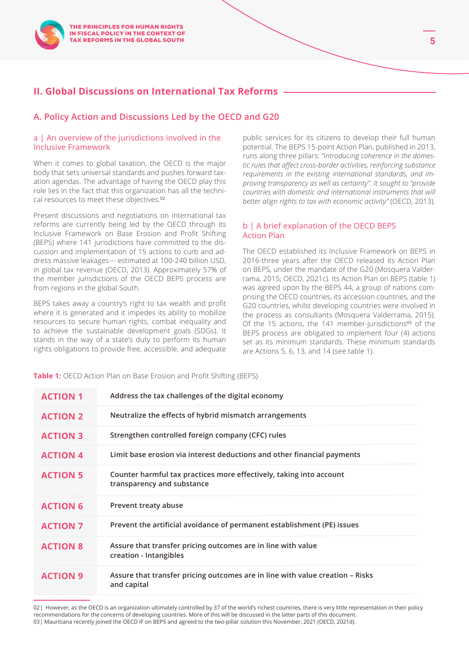## **II. Global Discussions on International Tax Reforms**

## **A. Policy Action and Discussions Led by the OECD and G20**

#### a | An overview of the jurisdictions involved in the Inclusive Framework

When it comes to global taxation, the OECD is the major body that sets universal standards and pushes forward taxation agendas. The advantage of having the OECD play this role lies in the fact that this organization has all the technical resources to meet these objectives.<sup>02</sup>

Present discussions and negotiations on international tax reforms are currently being led by the OECD through its Inclusive Framework on Base Erosion and Profit Shifting (BEPS) where 141 jurisdictions have committed to the discussion and implementation of 15 actions to curb and address massive leakages--- estimated at 100-240 billion USD, in global tax revenue (OECD, 2013). Approximately 57% of the member jurisdictions of the OECD BEPS process are from regions in the global South.

BEPS takes away a country's right to tax wealth and profit where it is generated and it impedes its ability to mobilize resources to secure human rights, combat inequality and to achieve the sustainable development goals (SDGs). It stands in the way of a state's duty to perform its human rights obligations to provide free, accessible, and adequate

public services for its citizens to develop their full human potential. The BEPS 15-point Action Plan, published in 2013, runs along three pillars: *"introducing coherence in the domestic rules that affect cross-border activities, reinforcing substance requirements in the existing international standards, and improving transparency as well as certainty". It sought to "provide countries with domestic and international instruments that will better align rights to tax with economic activity"* (OECD, 2013).

### b | A brief explanation of the OECD BEPS Action Plan

The OECD established its Inclusive Framework on BEPS in 2016-three years after the OECD released its Action Plan on BEPS, under the mandate of the G20 (Mosquera Valderrama, 2015; OECD, 2021c). Its Action Plan on BEPS (table 1) was agreed upon by the BEPS 44, a group of nations comprising the OECD countries, its accession countries, and the G20 countries, whilst developing countries were involved in the process as consultants (Mosquera Valderrama, 2015). Of the 15 actions, the 141 member-jurisdictions $03$  of the BEPS process are obligated to implement four (4) actions set as its minimum standards. These minimum standards are Actions 5, 6, 13, and 14 (see table 1).

**Table 1:** OECD Action Plan on Base Erosion and Profit Shifting (BEPS)

| <b>ACTION 1</b> | Address the tax challenges of the digital economy                                                 |
|-----------------|---------------------------------------------------------------------------------------------------|
| <b>ACTION 2</b> | Neutralize the effects of hybrid mismatch arrangements                                            |
| <b>ACTION 3</b> | Strengthen controlled foreign company (CFC) rules                                                 |
| <b>ACTION 4</b> | Limit base erosion via interest deductions and other financial payments                           |
| <b>ACTION 5</b> | Counter harmful tax practices more effectively, taking into account<br>transparency and substance |
| <b>ACTION 6</b> | Prevent treaty abuse                                                                              |
| <b>ACTION 7</b> | Prevent the artificial avoidance of permanent establishment (PE) issues                           |
| <b>ACTION 8</b> | Assure that transfer pricing outcomes are in line with value<br>creation - Intangibles            |
| <b>ACTION 9</b> | Assure that transfer pricing outcomes are in line with value creation – Risks<br>and capital      |

02| However, as the OECD is an organization ultimately controlled by 37 of the world's richest countries, there is very little representation in their policy recommendations for the concerns of developing countries. More of this will be discussed in the latter parts of this document.

03 | Mauritiana recently joined the OECD IF on BEPS and agreed to the two-pillar solution this November, 2021 (OECD, 2021d).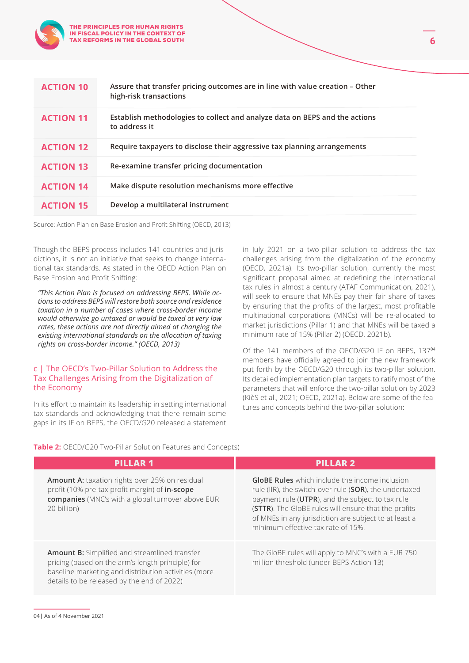

Source: Action Plan on Base Erosion and Profit Shifting (OECD, 2013)

THE PRINCIPLES FOR HUMAN RIGHTS IN FISCAL POLICY IN THE CONTEXT OF TAX REFORMS IN THE GLOBAL SOUTH

Though the BEPS process includes 141 countries and jurisdictions, it is not an initiative that seeks to change international tax standards. As stated in the OECD Action Plan on Base Erosion and Profit Shifting:

*"This Action Plan is focused on addressing BEPS. While actions to address BEPS will restore both source and residence taxation in a number of cases where cross-border income would otherwise go untaxed or would be taxed at very low rates, these actions are not directly aimed at changing the existing international standards on the allocation of taxing rights on cross-border income." (OECD, 2013)*

#### c | The OECD's Two-Pillar Solution to Address the Tax Challenges Arising from the Digitalization of the Economy

In its effort to maintain its leadership in setting international tax standards and acknowledging that there remain some gaps in its IF on BEPS, the OECD/G20 released a statement in July 2021 on a two-pillar solution to address the tax challenges arising from the digitalization of the economy (OECD, 2021a). Its two-pillar solution, currently the most significant proposal aimed at redefining the international tax rules in almost a century (ATAF Communication, 2021), will seek to ensure that MNEs pay their fair share of taxes by ensuring that the profits of the largest, most profitable multinational corporations (MNCs) will be re-allocated to market jurisdictions (Pillar 1) and that MNEs will be taxed a minimum rate of 15% (Pillar 2) (OECD, 2021b).

**6** 

Of the 141 members of the OECD/G20 IF on BEPS, 137<sup>04</sup> members have officially agreed to join the new framework put forth by the OECD/G20 through its two-pillar solution. Its detailed implementation plan targets to ratify most of the parameters that will enforce the two-pillar solution by 2023 (KièS et al., 2021; OECD, 2021a). Below are some of the features and concepts behind the two-pillar solution:

**Table 2:** OECD/G20 Two-Pillar Solution Features and Concepts)

| <b>PILLAR 1</b>                                                                                                                                                                                                 | <b>PILLAR 2</b>                                                                                                                                                                                                                                                                                                            |
|-----------------------------------------------------------------------------------------------------------------------------------------------------------------------------------------------------------------|----------------------------------------------------------------------------------------------------------------------------------------------------------------------------------------------------------------------------------------------------------------------------------------------------------------------------|
| <b>Amount A:</b> taxation rights over 25% on residual<br>profit (10% pre-tax profit margin) of in-scope<br>companies (MNC's with a global turnover above EUR<br>20 billion)                                     | <b>GloBE Rules</b> which include the income inclusion<br>rule (IIR), the switch-over rule (SOR), the undertaxed<br>payment rule (UTPR), and the subject to tax rule<br>(STTR). The GloBE rules will ensure that the profits<br>of MNEs in any jurisdiction are subject to at least a<br>minimum effective tax rate of 15%. |
| <b>Amount B:</b> Simplified and streamlined transfer<br>pricing (based on the arm's length principle) for<br>baseline marketing and distribution activities (more<br>details to be released by the end of 2022) | The GloBE rules will apply to MNC's with a EUR 750<br>million threshold (under BEPS Action 13)                                                                                                                                                                                                                             |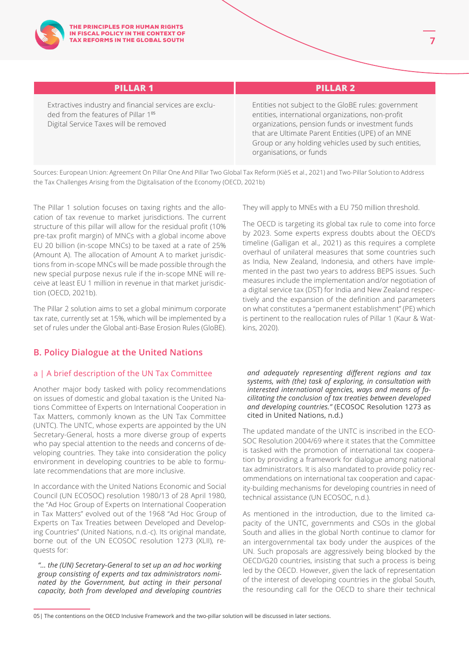Extractives industry and financial services are excluded from the features of Pillar 1<sup>05</sup> Digital Service Taxes will be removed

## **PILLAR 1 PILLAR 2**

Entities not subject to the GloBE rules: government entities, international organizations, non-profit organizations, pension funds or investment funds that are Ultimate Parent Entities (UPE) of an MNE Group or any holding vehicles used by such entities, organisations, or funds

Sources: European Union: Agreement On Pillar One And Pillar Two Global Tax Reform (KièS et al., 2021) and Two-Pillar Solution to Address the Tax Challenges Arising from the Digitalisation of the Economy (OECD, 2021b)

The Pillar 1 solution focuses on taxing rights and the allocation of tax revenue to market jurisdictions. The current structure of this pillar will allow for the residual profit (10% pre-tax profit margin) of MNCs with a global income above EU 20 billion (in-scope MNCs) to be taxed at a rate of 25% (Amount A). The allocation of Amount A to market jurisdictions from in-scope MNCs will be made possible through the new special purpose nexus rule if the in-scope MNE will receive at least EU 1 million in revenue in that market jurisdiction (OECD, 2021b).

The Pillar 2 solution aims to set a global minimum corporate tax rate, currently set at 15%, which will be implemented by a set of rules under the Global anti-Base Erosion Rules (GloBE).

## **B. Policy Dialogue at the United Nations**

## a | A brief description of the UN Tax Committee

Another major body tasked with policy recommendations on issues of domestic and global taxation is the United Nations Committee of Experts on International Cooperation in Tax Matters, commonly known as the UN Tax Committee (UNTC). The UNTC, whose experts are appointed by the UN Secretary-General, hosts a more diverse group of experts who pay special attention to the needs and concerns of developing countries. They take into consideration the policy environment in developing countries to be able to formulate recommendations that are more inclusive.

In accordance with the United Nations Economic and Social Council (UN ECOSOC) resolution 1980/13 of 28 April 1980, the "Ad Hoc Group of Experts on International Cooperation in Tax Matters" evolved out of the 1968 "Ad Hoc Group of Experts on Tax Treaties between Developed and Developing Countries" (United Nations, n.d.-c). Its original mandate, borne out of the UN ECOSOC resolution 1273 (XLII), requests for:

*"… the (UN) Secretary-General to set up an ad hoc working group consisting of experts and tax administrators nominated by the Government, but acting in their personal capacity, both from developed and developing countries* 

They will apply to MNEs with a EU 750 million threshold.

The OECD is targeting its global tax rule to come into force by 2023. Some experts express doubts about the OECD's timeline (Galligan et al., 2021) as this requires a complete overhaul of unilateral measures that some countries such as India, New Zealand, Indonesia, and others have implemented in the past two years to address BEPS issues. Such measures include the implementation and/or negotiation of a digital service tax (DST) for India and New Zealand respectively and the expansion of the definition and parameters on what constitutes a "permanent establishment" (PE) which is pertinent to the reallocation rules of Pillar 1 (Kaur & Watkins, 2020).

*and adequately representing different regions and tax systems, with (the) task of exploring, in consultation with interested international agencies, ways and means of facilitating the conclusion of tax treaties between developed and developing countries."* (ECOSOC Resolution 1273 as cited in United Nations, n.d.)

The updated mandate of the UNTC is inscribed in the ECO-SOC Resolution 2004/69 where it states that the Committee is tasked with the promotion of international tax cooperation by providing a framework for dialogue among national tax administrators. It is also mandated to provide policy recommendations on international tax cooperation and capacity-building mechanisms for developing countries in need of technical assistance (UN ECOSOC, n.d.).

As mentioned in the introduction, due to the limited capacity of the UNTC, governments and CSOs in the global South and allies in the global North continue to clamor for an intergovernmental tax body under the auspices of the UN. Such proposals are aggressively being blocked by the OECD/G20 countries, insisting that such a process is being led by the OECD. However, given the lack of representation of the interest of developing countries in the global South, the resounding call for the OECD to share their technical

<sup>05|</sup> The contentions on the OECD Inclusive Framework and the two-pillar solution will be discussed in later sections.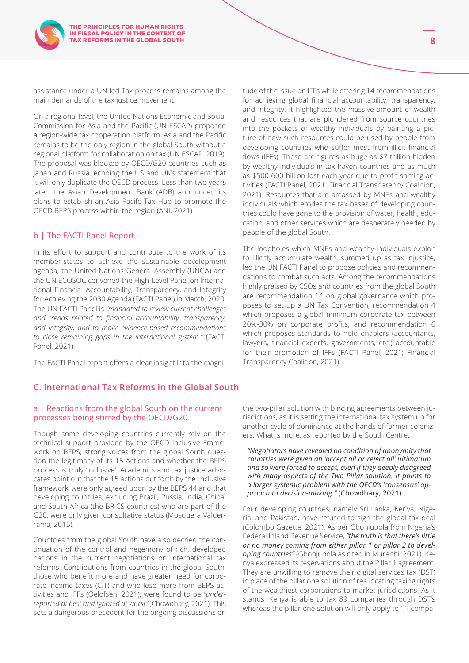assistance under a UN-led Tax process remains among the main demands of the tax justice movement.

On a regional level, the United Nations Economic and Social Commission for Asia and the Pacific (UN ESCAP) proposed a region-wide tax cooperation platform. Asia and the Pacific remains to be the only region in the global South without a regional platform for collaboration on tax (UN ESCAP, 2019). The proposal was blocked by OECD/G20 countries such as Japan and Russia, echoing the US and UK's statement that it will only duplicate the OECD process. Less than two years later, the Asian Development Bank (ADB) announced its plans to establish an Asia Pacifc Tax Hub to promote the OECD BEPS process within the region (ANI, 2021).

#### b | The FACTI Panel Report

In its effort to support and contribute to the work of its member-states to achieve the sustainable development agenda, the United Nations General Assembly (UNGA) and the UN ECOSOC convened the High-Level Panel on International Financial Accountability, Transparency, and Integrity for Achieving the 2030 Agenda (FACTI Panel) in March, 2020. The UN FACTI Panel is *"mandated to review current challenges and trends related to financial accountability, transparency, and integrity, and to make evidence-based recommendations to close remaining gaps in the international system."* (FACTI Panel, 2021)

The FACTI Panel report offers a clear insight into the magni-

## **C. International Tax Reforms in the Global South**

#### a | Reactions from the global South on the current processes being stirred by the OECD/G20

Though some developing countries currently rely on the technical support provided by the OECD Inclusive Framework on BEPS, strong voices from the global South question the legitimacy of its 15 Actions and whether the BEPS process is truly 'inclusive'. Academics and tax justice advocates point out that the 15 actions put forth by the 'inclusive framework' were only agreed upon by the BEPS 44 and that developing countries, excluding Brazil, Russia, India, China, and South Africa (the BRICS countries) who are part of the G20, were only given consultative status (Mosquera Valderrama, 2015).

Countries from the global South have also decried the continuation of the control and hegemony of rich, developed nations in the current negotiations on international tax reforms. Contributions from countries in the global South, those who benefit more and have greater need for corporate income taxes (CIT) and who lose more from BEPS activities and IFFs (Oelofsen, 2021), were found to be *"underreported at best and ignored at worst"* (Chowdhary, 2021). This sets a dangerous precedent for the ongoing discussions on tude of the issue on IFFs while offering 14 recommendations for achieving global financial accountability, transparency, and integrity. It highlighted the massive amount of wealth and resources that are plundered from source countries into the pockets of wealthy individuals by painting a picture of how such resources could be used by people from developing countries who suffer most from illicit financial flows (IFFs). These are figures as huge as \$7 trillion hidden by wealthy individuals in tax haven countries and as much as \$500-600 billion lost each year due to profit-shifting activities (FACTI Panel, 2021; Financial Transparency Coalition, 2021). Resources that are amassed by MNEs and wealthy individuals which erodes the tax bases of developing countries could have gone to the provision of water, health, education, and other services which are desperately needed by people of the global South.

The loopholes which MNEs and wealthy individuals exploit to illicitly accumulate wealth, summed up as tax injustice, led the UN FACTI Panel to propose policies and recommendations to combat such acts. Among the recommendations highly praised by CSOs and countries from the global South are recommendation 14 on global governance which proposes to set up a UN Tax Convention, recommendation 4 which proposes a global minimum corporate tax between 20%-30% on corporate profits, and recommendation 6 which proposes standards to hold enablers (accountants, lawyers, financial experts, governments, etc.) accountable for their promotion of IFFs (FACTI Panel, 2021; Financial Transparency Coalition, 2021).

the two-pillar solution with binding agreements between jurisdictions, as it is setting the international tax system up for another cycle of dominance at the hands of former colonizers. What is more, as reported by the South Centre:

*"Negotiators have revealed on condition of anonymity that countries were given an 'accept all or reject all' ultimatum and so were forced to accept, even if they deeply disagreed with many aspects of the Two Pillar solution. It points to a larger systemic problem with the OECD's 'consensus' approach to decision-making."* (Chowdhary, 2021)

Four developing countries, namely Sri Lanka, Kenya, Nigeria, and Pakistan, have refused to sign the global tax deal (Colombo Gazette, 2021). As per Gbonjubola from Nigeria's Federal Inland Revenue Service, *"the truth is that there's little or no money coming from either pillar 1 or pillar 2 to developing countries"* (Gbonjubola as cited in Mureithi, 2021). Kenya expressed its reservations about the Pillar 1 agreement. They are unwilling to remove their digital services tax (DST) in place of the pillar one solution of reallocating taxing rights of the wealthiest corporations to market jurisdictions. As it stands, Kenya is able to tax 89 companies through DST's whereas the pillar one solution will only apply to 11 compa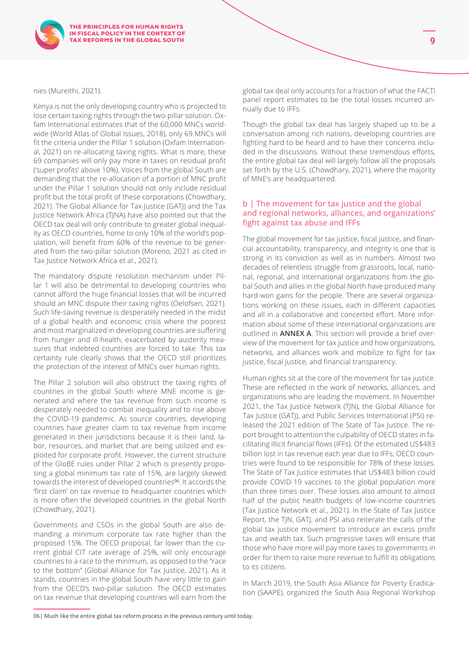nies (Mureithi, 2021).

Kenya is not the only developing country who is projected to lose certain taxing rights through the two-pillar solution. Oxfam International estimates that of the 60,000 MNCs worldwide (World Atlas of Global Issues, 2018), only 69 MNCs will fit the criteria under the Pillar 1 solution (Oxfam International, 2021) on re-allocating taxing rights. What is more, these 69 companies will only pay more in taxes on residual profit ('super profits' above 10%). Voices from the global South are demanding that the re-allocation of a portion of MNC profit under the Pillar 1 solution should not only include residual profit but the total profit of these corporations (Chowdhary, 2021). The Global Alliance for Tax Justice (GATJ) and the Tax Justice Network Africa (TJNA) have also pointed out that the OECD tax deal will only contribute to greater global inequality as OECD countries, home to only 10% of the world's population, will benefit from 60% of the revenue to be generated from the two-pillar solution (Moreno, 2021 as cited in Tax Justice Network Africa et al., 2021).

The mandatory dispute resolution mechanism under Pillar 1 will also be detrimental to developing countries who cannot afford the huge financial losses that will be incurred should an MNC dispute their taxing rights (Oelofsen, 2021). Such life-saving revenue is desperately needed in the midst of a global health and economic crisis where the poorest and most marginalized in developing countries are suffering from hunger and ill-health, exacerbated by austerity measures that indebted countries are forced to take. This tax certainty rule clearly shows that the OECD still prioritizes the protection of the interest of MNCs over human rights.

The Pillar 2 solution will also obstruct the taxing rights of countries in the global South where MNE income is generated and where the tax revenue from such income is desperately needed to combat inequality and to rise above the COVID-19 pandemic. As source countries, developing countries have greater claim to tax revenue from income generated in their jurisdictions because it is their land, labor, resources, and market that are being utilized and exploited for corporate profit. However, the current structure of the GloBE rules under Pillar 2 which is presently proposing a global minimum tax rate of 15%, are largely skewed towards the interest of developed countries<sup>06</sup>. It accords the 'first claim' on tax revenue to headquarter countries which is more often the developed countries in the global North (Chowdhary, 2021).

Governments and CSOs in the global South are also demanding a minimum corporate tax rate higher than the proposed 15%. The OECD proposal, far lower than the current global CIT rate average of 25%, will only encourage countries to a race to the minimum, as opposed to the "race to the bottom" (Global Alliance for Tax Justice, 2021). As it stands, countries in the global South have very little to gain from the OECD's two-pillar solution. The OECD estimates on tax revenue that developing countries will earn from the global tax deal only accounts for a fraction of what the FACTI panel report estimates to be the total losses incurred annually due to IFFs.

Though the global tax deal has largely shaped up to be a conversation among rich nations, developing countries are fighting hard to be heard and to have their concerns included in the discussions. Without these tremendous efforts, the entire global tax deal will largely follow all the proposals set forth by the U.S. (Chowdhary, 2021), where the majority of MNE's are headquartered.

#### b | The movement for tax justice and the global and regional networks, alliances, and organizations' fight against tax abuse and IFFs

The global movement for tax justice, fiscal justice, and financial accountability, transparency, and integrity is one that is strong in its conviction as well as in numbers. Almost two decades of relentless struggle from grassroots, local, national, regional, and international organizations from the global South and allies in the global North have produced many hard-won gains for the people. There are several organizations working on these issues, each in different capacities and all in a collaborative and concerted effort. More information about some of these international organizations are outlined in **ANNEX A**. This section will provide a brief overview of the movement for tax justice and how organizations, networks, and alliances work and mobilize to fight for tax justice, fiscal justice, and financial transparency.

Human rights sit at the core of the movement for tax justice. These are reflected in the work of networks, alliances, and organizations who are leading the movement. In November 2021, the Tax Justice Network (TJN), the Global Alliance for Tax Justice (GATJ), and Public Services International (PSI) released the 2021 edition of The State of Tax Justice. The report brought to attention the culpability of OECD states in facilitating illicit financial flows (IFFs). Of the estimated US\$483 billion lost in tax revenue each year due to IFFs, OECD countries were found to be responsible for 78% of these losses. The State of Tax Justice estimates that US\$483 billion could provide COVID-19 vaccines to the global population more than three times over. These losses also amount to almost half of the public health budgets of low-income countries (Tax Justice Network et al., 2021). In the State of Tax Justice Report, the TJN, GATJ, and PSI also reiterate the calls of the global tax justice movement to introduce an excess profit tax and wealth tax. Such progressive taxes will ensure that those who have more will pay more taxes to governments in order for them to raise more revenue to fulfill its obligations to its citizens.

In March 2019, the South Asia Alliance for Poverty Eradication (SAAPE), organized the South Asia Regional Workshop

<sup>06|</sup> Much like the entire global tax reform process in the previous century until today.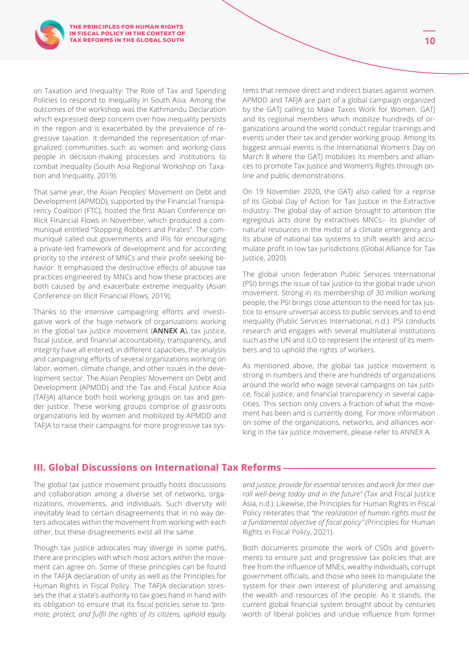on Taxation and Inequality: The Role of Tax and Spending Policies to respond to Inequality in South Asia. Among the outcomes of the workshop was the Kathmandu Declaration which expressed deep concern over how inequality persists in the region and is exacerbated by the prevalence of regressive taxation. It demanded the representation of marginalized communities such as women and working-class people in decision-making processes and institutions to combat inequality (South Asia Regional Workshop on Taxation and Inequality, 2019).

That same year, the Asian Peoples' Movement on Debt and Development (APMDD), supported by the Financial Transparency Coalition (FTC), hosted the first Asian Conference on Illicit Financial Flows in November, which produced a communiqué entitled "Stopping Robbers and Pirates". The communiqué called out governments and IFIs for encouraging a private-led framework of development and for according priority to the interest of MNCs and their profit-seeking behavior. It emphasized the destructive effects of abusive tax practices engineered by MNCs and how these practices are both caused by and exacerbate extreme inequality (Asian Conference on Illicit Financial Flows, 2019).

Thanks to the intensive campaigning efforts and investigative work of the huge network of organizations working in the global tax justice movement (**ANNEX A**), tax justice, fiscal justice, and financial accountability, transparency, and integrity have all entered, in different capacities, the analysis and campaigning efforts of several organizations working on labor, women, climate change, and other issues in the development sector. The Asian Peoples' Movement on Debt and Development (APMDD) and the Tax and Fiscal Justice Asia (TAFJA) alliance both host working groups on tax and gender justice. These working groups comprise of grassroots organizations led by women and mobilized by APMDD and TAFJA to raise their campaigns for more progressive tax systems that remove direct and indirect biases against women. APMDD and TAFJA are part of a global campaign organized by the GATJ calling to Make Taxes Work for Women. GATJ and its regional members which mobilize hundreds of organizations around the world conduct regular trainings and events under their tax and gender working group. Among its biggest annual events is the International Women's Day on March 8 where the GATJ mobilizes its members and alliances to promote Tax Justice and Women's Rights through online and public demonstrations.

On 19 November 2020, the GATJ also called for a reprise of its Global Day of Action for Tax Justice in the Extractive Industry. The global day of action brought to attention the egregious acts done by extractives MNCs-- its plunder of natural resources in the midst of a climate emergency and its abuse of national tax systems to shift wealth and accumulate profit in low tax jurisdictions (Global Alliance for Tax Justice, 2020).

The global union federation Public Services International (PSI) brings the issue of tax justice to the global trade union movement. Strong in its membership of 30 million working people, the PSI brings close attention to the need for tax justice to ensure universal access to public services and to end inequality (Public Services International, n.d.). PSI conducts research and engages with several multilateral institutions such as the UN and ILO to represent the interest of its members and to uphold the rights of workers.

As mentioned above, the global tax justice movement is strong in numbers and there are hundreds of organizations around the world who wage several campaigns on tax justice, fiscal justice, and financial transparency in several capacities. This section only covers a fraction of what the movement has been and is currently doing. For more information on some of the organizations, networks, and alliances working in the tax justice movement, please refer to ANNEX A.

## **III. Global Discussions on International Tax Reforms**

The global tax justice movement proudly hosts discussions and collaboration among a diverse set of networks, organizations, movements, and individuals. Such diversity will inevitably lead to certain disagreements that in no way deters advocates within the movement from working with each other, but these disagreements exist all the same.

Though tax justice advocates may diverge in some paths, there are principles with which most actors within the movement can agree on. Some of these principles can be found in the TAFJA declaration of unity as well as the Principles for Human Rights in Fiscal Policy. The TAFJA declaration stresses the that a state's authority to tax goes hand in hand with its obligation to ensure that its fiscal policies serve to *"promote, protect, and fulfil the rights of its citizens, uphold equity*  *and justice, provide for essential services and work for their overall well-being today and in the future"* (Tax and Fiscal Justice Asia, n.d.). Likewise, the Principles for Human Rights in Fiscal Policy reiterates that *"the realization of human rights must be a fundamental objective of fiscal policy"* (Principles for Human Rights in Fiscal Policy, 2021).

Both documents promote the work of CSOs and governments to ensure just and progressive tax policies that are free from the influence of MNEs, wealthy individuals, corrupt government officials, and those who seek to manipulate the system for their own interest of plundering and amassing the wealth and resources of the people. As it stands, the current global financial system brought about by centuries worth of liberal policies and undue influence from former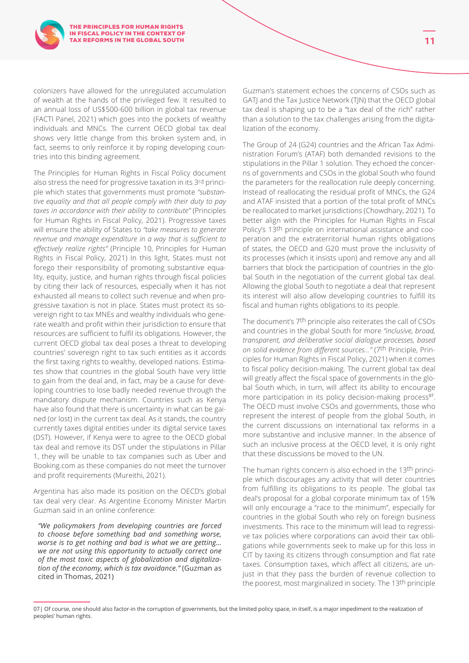colonizers have allowed for the unregulated accumulation of wealth at the hands of the privileged few. It resulted to an annual loss of US\$500-600 billion in global tax revenue (FACTI Panel, 2021) which goes into the pockets of wealthy individuals and MNCs. The current OECD global tax deal shows very little change from this broken system and, in fact, seems to only reinforce it by roping developing countries into this binding agreement.

The Principles for Human Rights in Fiscal Policy document also stress the need for progressive taxation in its 3rd principle which states that governments must promote *"substantive equality and that all people comply with their duty to pay taxes in accordance with their ability to contribute"* (Principles for Human Rights in Fiscal Policy, 2021). Progressive taxes will ensure the ability of States to *"take measures to generate revenue and manage expenditure in a way that is sufficient to effectively realize rights"* (Principle 10, Principles for Human Rights in Fiscal Policy, 2021) In this light, States must not forego their responsibility of promoting substantive equality, equity, justice, and human rights through fiscal policies by citing their lack of resources, especially when it has not exhausted all means to collect such revenue and when progressive taxation is not in place. States must protect its sovereign right to tax MNEs and wealthy individuals who generate wealth and profit within their jurisdiction to ensure that resources are sufficient to fulfil its obligations. However, the current OECD global tax deal poses a threat to developing countries' sovereign right to tax such entities as it accords the first taxing rights to wealthy, developed nations. Estimates show that countries in the global South have very little to gain from the deal and, in fact, may be a cause for developing countries to lose badly needed revenue through the mandatory dispute mechanism. Countries such as Kenya have also found that there is uncertainty in what can be gained (or lost) in the current tax deal. As it stands, the country currently taxes digital entities under its digital service taxes (DST). However, if Kenya were to agree to the OECD global tax deal and remove its DST under the stipulations in Pillar 1, they will be unable to tax companies such as Uber and Booking.com as these companies do not meet the turnover and profit requirements (Mureithi, 2021).

Argentina has also made its position on the OECD's global tax deal very clear. As Argentine Economy Minister Martin Guzman said in an online conference:

*"We policymakers from developing countries are forced to choose before something bad and something worse, worse is to get nothing and bad is what we are getting… we are not using this opportunity to actually correct one of the most toxic aspects of globalization and digitalization of the economy, which is tax avoidance."* (Guzman as cited in Thomas, 2021)

Guzman's statement echoes the concerns of CSOs such as GATJ and the Tax Justice Network (TJN) that the OECD global tax deal is shaping up to be a "tax deal of the rich" rather than a solution to the tax challenges arising from the digitalization of the economy.

The Group of 24 (G24) countries and the African Tax Administration Forum's (ATAF) both demanded revisions to the stipulations in the Pillar 1 solution. They echoed the concerns of governments and CSOs in the global South who found the parameters for the reallocation rule deeply concerning. Instead of reallocating the residual profit of MNCs, the G24 and ATAF insisted that a portion of the total profit of MNCs be reallocated to market jurisdictions (Chowdhary, 2021). To better align with the Principles for Human Rights in Fiscal Policy's 13th principle on international assistance and cooperation and the extraterritorial human rights obligations of states, the OECD and G20 must prove the inclusivity of its processes (which it insists upon) and remove any and all barriers that block the participation of countries in the global South in the negotiation of the current global tax deal. Allowing the global South to negotiate a deal that represent its interest will also allow developing countries to fulfill its fiscal and human rights obligations to its people.

The document's 7th principle also reiterates the call of CSOs and countries in the global South for more *"inclusive, broad, transparent, and deliberative social dialogue processes, based on solid evidence from different sources…"* (7th Principle, Principles for Human Rights in Fiscal Policy, 2021) when it comes to fiscal policy decision-making. The current global tax deal will greatly affect the fiscal space of governments in the global South which, in turn, will affect its ability to encourage more participation in its policy decision-making process<sup>07</sup>. The OECD must involve CSOs and governments, those who represent the interest of people from the global South, in the current discussions on international tax reforms in a more substantive and inclusive manner. In the absence of such an inclusive process at the OECD level, it is only right that these discussions be moved to the UN.

The human rights concern is also echoed in the 13th principle which discourages any activity that will deter countries from fulfilling its obligations to its people. The global tax deal's proposal for a global corporate minimum tax of 15% will only encourage a "race to the minimum", especially for countries in the global South who rely on foreign business investments. This race to the minimum will lead to regressive tax policies where corporations can avoid their tax obligations while governments seek to make up for this loss in CIT by taxing its citizens through consumption and flat rate taxes. Consumption taxes, which affect all citizens, are unjust in that they pass the burden of revenue collection to the poorest, most marginalized in society. The 13th principle

<sup>07|</sup> Of course, one should also factor-in the corruption of governments, but the limited policy space, in itself, is a major impediment to the realization of peoples' human rights.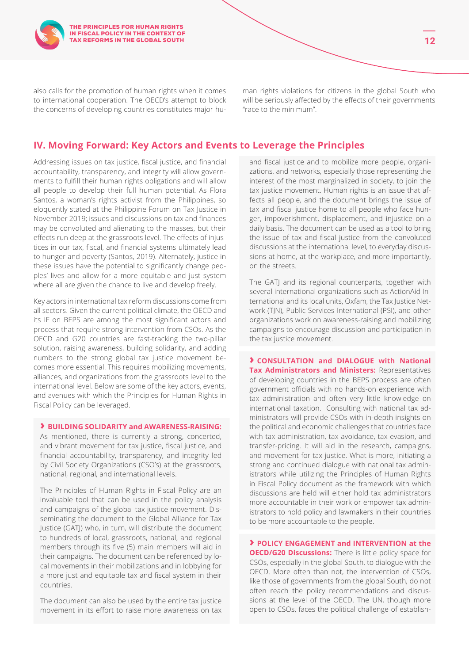also calls for the promotion of human rights when it comes to international cooperation. The OECD's attempt to block the concerns of developing countries constitutes major human rights violations for citizens in the global South who will be seriously affected by the effects of their governments "race to the minimum".

## **IV. Moving Forward: Key Actors and Events to Leverage the Principles**

Addressing issues on tax justice, fiscal justice, and financial accountability, transparency, and integrity will allow governments to fulfill their human rights obligations and will allow all people to develop their full human potential. As Flora Santos, a woman's rights activist from the Philippines, so eloquently stated at the Philippine Forum on Tax Justice in November 2019; issues and discussions on tax and finances may be convoluted and alienating to the masses, but their effects run deep at the grassroots level. The effects of injustices in our tax, fiscal, and financial systems ultimately lead to hunger and poverty (Santos, 2019). Alternately, justice in these issues have the potential to significantly change peoples' lives and allow for a more equitable and just system where all are given the chance to live and develop freely.

Key actors in international tax reform discussions come from all sectors. Given the current political climate, the OECD and its IF on BEPS are among the most significant actors and process that require strong intervention from CSOs. As the OECD and G20 countries are fast-tracking the two-pillar solution, raising awareness, building solidarity, and adding numbers to the strong global tax justice movement becomes more essential. This requires mobilizing movements, alliances, and organizations from the grassroots level to the international level. Below are some of the key actors, events, and avenues with which the Principles for Human Rights in Fiscal Policy can be leveraged.

#### **› BUILDING SOLIDARITY and AWARENESS-RAISING:**

As mentioned, there is currently a strong, concerted, and vibrant movement for tax justice, fiscal justice, and financial accountability, transparency, and integrity led by Civil Society Organizations (CSO's) at the grassroots, national, regional, and international levels.

The Principles of Human Rights in Fiscal Policy are an invaluable tool that can be used in the policy analysis and campaigns of the global tax justice movement. Disseminating the document to the Global Alliance for Tax Justice (GATJ) who, in turn, will distribute the document to hundreds of local, grassroots, national, and regional members through its five (5) main members will aid in their campaigns. The document can be referenced by local movements in their mobilizations and in lobbying for a more just and equitable tax and fiscal system in their countries.

The document can also be used by the entire tax justice movement in its effort to raise more awareness on tax and fiscal justice and to mobilize more people, organizations, and networks, especially those representing the interest of the most marginalized in society, to join the tax justice movement. Human rights is an issue that affects all people, and the document brings the issue of tax and fiscal justice home to all people who face hunger, impoverishment, displacement, and injustice on a daily basis. The document can be used as a tool to bring the issue of tax and fiscal justice from the convoluted discussions at the international level, to everyday discussions at home, at the workplace, and more importantly, on the streets.

The GATJ and its regional counterparts, together with several international organizations such as ActionAid International and its local units, Oxfam, the Tax Justice Network (TJN), Public Services International (PSI), and other organizations work on awareness-raising and mobilizing campaigns to encourage discussion and participation in the tax justice movement.

**› CONSULTATION and DIALOGUE with National Tax Administrators and Ministers: Representatives** of developing countries in the BEPS process are often government officials with no hands-on experience with tax administration and often very little knowledge on international taxation. Consulting with national tax administrators will provide CSOs with in-depth insights on the political and economic challenges that countries face with tax administration, tax avoidance, tax evasion, and transfer-pricing. It will aid in the research, campaigns, and movement for tax justice. What is more, initiating a strong and continued dialogue with national tax administrators while utilizing the Principles of Human Rights in Fiscal Policy document as the framework with which discussions are held will either hold tax administrators more accountable in their work or empower tax administrators to hold policy and lawmakers in their countries to be more accountable to the people.

**› POLICY ENGAGEMENT and INTERVENTION at the OECD/G20 Discussions:** There is little policy space for CSOs, especially in the global South, to dialogue with the OECD. More often than not, the intervention of CSOs, like those of governments from the global South, do not often reach the policy recommendations and discussions at the level of the OECD. The UN, though more open to CSOs, faces the political challenge of establish-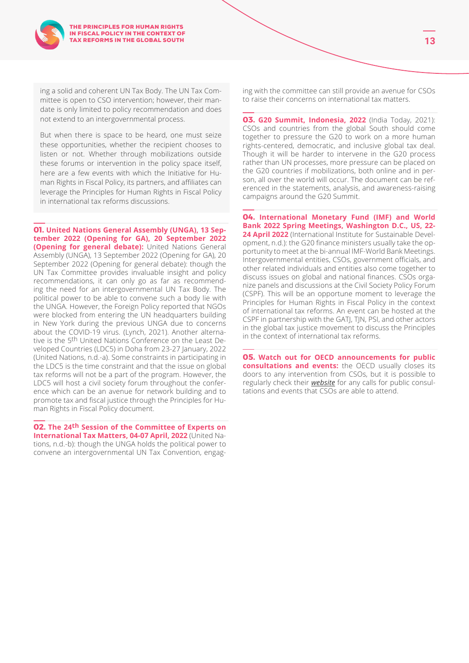

ing a solid and coherent UN Tax Body. The UN Tax Committee is open to CSO intervention; however, their mandate is only limited to policy recommendation and does not extend to an intergovernmental process.

But when there is space to be heard, one must seize these opportunities, whether the recipient chooses to listen or not. Whether through mobilizations outside these forums or intervention in the policy space itself, here are a few events with which the Initiative for Human Rights in Fiscal Policy, its partners, and affiliates can leverage the Principles for Human Rights in Fiscal Policy in international tax reforms discussions.

**01. United Nations General Assembly (UNGA), 13 September 2022 (Opening for GA), 20 September 2022 (Opening for general debate):** United Nations General Assembly (UNGA), 13 September 2022 (Opening for GA), 20 September 2022 (Opening for general debate): though the UN Tax Committee provides invaluable insight and policy recommendations, it can only go as far as recommending the need for an intergovernmental UN Tax Body. The political power to be able to convene such a body lie with the UNGA. However, the Foreign Policy reported that NGOs were blocked from entering the UN headquarters building in New York during the previous UNGA due to concerns about the COVID-19 virus. (Lynch, 2021). Another alternative is the 5th United Nations Conference on the Least Developed Countries (LDC5) in Doha from 23-27 January, 2022 (United Nations, n.d.-a). Some constraints in participating in the LDC5 is the time constraint and that the issue on global tax reforms will not be a part of the program. However, the LDC5 will host a civil society forum throughout the conference which can be an avenue for network building and to promote tax and fiscal justice through the Principles for Human Rights in Fiscal Policy document.

**02. The 24th Session of the Committee of Experts on International Tax Matters, 04-07 April, 2022** (United Nations, n.d.-b): though the UNGA holds the political power to convene an intergovernmental UN Tax Convention, engaging with the committee can still provide an avenue for CSOs to raise their concerns on international tax matters.

**03. G20 Summit, Indonesia, 2022** (India Today, 2021): CSOs and countries from the global South should come together to pressure the G20 to work on a more human rights-centered, democratic, and inclusive global tax deal. Though it will be harder to intervene in the G20 process rather than UN processes, more pressure can be placed on the G20 countries if mobilizations, both online and in person, all over the world will occur. The document can be referenced in the statements, analysis, and awareness-raising campaigns around the G20 Summit.

**04. International Monetary Fund (IMF) and World Bank 2022 Spring Meetings, Washington D.C., US, 22- 24 April 2022** (International Institute for Sustainable Development, n.d.): the G20 finance ministers usually take the opportunity to meet at the bi-annual IMF-World Bank Meetings. Intergovernmental entities, CSOs, government officials, and other related individuals and entities also come together to discuss issues on global and national finances. CSOs organize panels and discussions at the Civil Society Policy Forum (CSPF). This will be an opportune moment to leverage the Principles for Human Rights in Fiscal Policy in the context of international tax reforms. An event can be hosted at the CSPF in partnership with the GATJ, TJN, PSI, and other actors in the global tax justice movement to discuss the Principles in the context of international tax reforms.

**05. Watch out for OECD announcements for public consultations and events:** the OECD usually closes its doors to any intervention from CSOs, but it is possible to regularly check their *[website](https://www.oecd.org/about/upcoming-events/)* for any calls for public consultations and events that CSOs are able to attend.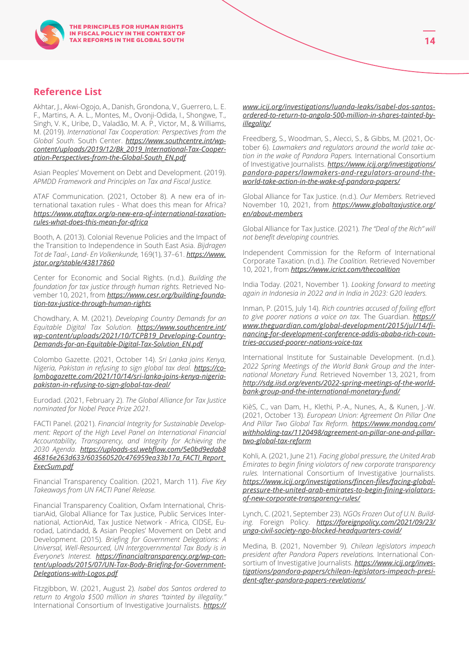## **Reference List**

Akhtar, J., Akwi-Ogojo, A., Danish, Grondona, V., Guerrero, L. E. F., Martins, A. A. L., Montes, M., Ovonji-Odida, I., Shongwe, T., Singh, V. K., Uribe, D., Valadão, M. A. P., Victor, M., & Williams, M. (2019). *International Tax Cooperation: Perspectives from the Global South.* South Center. *[https://www.southcentre.int/wp](https://www.southcentre.int/wp-content/uploads/2019/12/Bk_2019_International-Tax-Cooperation-Perspec)[content/uploads/2019/12/Bk\\_2019\\_International-Tax-Cooper](https://www.southcentre.int/wp-content/uploads/2019/12/Bk_2019_International-Tax-Cooperation-Perspec)[ation-Perspectives-from-the-Global-South\\_EN.pdf](https://www.southcentre.int/wp-content/uploads/2019/12/Bk_2019_International-Tax-Cooperation-Perspec)*

Asian Peoples' Movement on Debt and Development. (2019). *APMDD Framework and Principles on Tax and Fiscal Justice.*

ATAF Communication. (2021, October 8). A new era of international taxation rules - What does this mean for Africa? *[https://www.ataftax.org/a-new-era-of-international-taxation](https://www.ataftax.org/a-new-era-of-international-taxation-rules-what-does-this-mean-for-africa)[rules-what-does-this-mean-for-africa](https://www.ataftax.org/a-new-era-of-international-taxation-rules-what-does-this-mean-for-africa)*

Booth, A. (2013). Colonial Revenue Policies and the Impact of the Transition to Independence in South East Asia. *Bijdragen Tot de Taal-, Land- En Volkenkunde,* 169(1), 37–61. *[https://www.](https://www.jstor.org/stable/43817860) [jstor.org/stable/43817860](https://www.jstor.org/stable/43817860)*

Center for Economic and Social Rights. (n.d.). *Building the foundation for tax justice through human rights.* Retrieved November 10, 2021, from *[https://www.cesr.org/building-founda](https://www.cesr.org/building-foundation-tax-justice-through-human-rights/)[tion-tax-justice-through-human-rights](https://www.cesr.org/building-foundation-tax-justice-through-human-rights/)*

Chowdhary, A. M. (2021). *Developing Country Demands for an Equitable Digital Tax Solution. [https://www.southcentre.int/](https://www.southcentre.int/wp-content/uploads/2021/10/TCPB19_Developing-Country-Demands-for-an-Equi) [wp-content/uploads/2021/10/TCPB19\\_Developing-Country-](https://www.southcentre.int/wp-content/uploads/2021/10/TCPB19_Developing-Country-Demands-for-an-Equi)[Demands-for-an-Equitable-Digital-Tax-Solution\\_EN.pdf](https://www.southcentre.int/wp-content/uploads/2021/10/TCPB19_Developing-Country-Demands-for-an-Equi)*

Colombo Gazette. (2021, October 14). *Sri Lanka joins Kenya, Nigeria, Pakistan in refusing to sign global tax deal. [https://co](https://colombogazette.com/2021/10/14/sri-lanka-joins-kenya-nigeria-pakistan-in-refusing-to-sign-global-tax-deal/)[lombogazette.com/2021/10/14/sri-lanka-joins-kenya-nigeria](https://colombogazette.com/2021/10/14/sri-lanka-joins-kenya-nigeria-pakistan-in-refusing-to-sign-global-tax-deal/)[pakistan-in-refusing-to-sign-global-tax-deal/](https://colombogazette.com/2021/10/14/sri-lanka-joins-kenya-nigeria-pakistan-in-refusing-to-sign-global-tax-deal/)*

Eurodad. (2021, February 2). *The Global Alliance for Tax Justice nominated for Nobel Peace Prize 2021.*

FACTI Panel. (2021). *Financial Integrity for Sustainable Development: Report of the High Level Panel on International Financial Accountability, Transparency, and Integrity for Achieving the 2030 Agenda. [https://uploads-ssl.webflow.com/5e0bd9edab8](https://uploads-ssl.webflow.com/5e0bd9edab846816e263d633/603560520c476959ea33b17a_FACTI_Report_ExecS) [46816e263d633/603560520c476959ea33b17a\\_FACTI\\_Report\\_](https://uploads-ssl.webflow.com/5e0bd9edab846816e263d633/603560520c476959ea33b17a_FACTI_Report_ExecS) [ExecSum.pdf](https://uploads-ssl.webflow.com/5e0bd9edab846816e263d633/603560520c476959ea33b17a_FACTI_Report_ExecS)*

Financial Transparency Coalition. (2021, March 11). *Five Key Takeaways from UN FACTI Panel Release.*

Financial Transparency Coalition, Oxfam International, ChristianAid, Global Alliance for Tax Justice, Public Services International, ActionAid, Tax Justice Network - Africa, CIDSE, Eurodad, Latindadd, & Asian Peoples' Movement on Debt and Development. (2015). *Briefing for Government Delegations: A Universal, Well-Resourced, UN Intergovernmental Tax Body is in Everyone's Interest. [https://financialtransparency.org/wp-con](https://financialtransparency.org/wp-content/uploads/2015/07/UN-Tax-Body-Briefing-for-Government-Delegations-with-Logos.pdf)[tent/uploads/2015/07/UN-Tax-Body-Briefing-for-Government-](https://financialtransparency.org/wp-content/uploads/2015/07/UN-Tax-Body-Briefing-for-Government-Delegations-with-Logos.pdf)[Delegations-with-Logos.pdf](https://financialtransparency.org/wp-content/uploads/2015/07/UN-Tax-Body-Briefing-for-Government-Delegations-with-Logos.pdf)*

Fitzgibbon, W. (2021, August 2). *Isabel dos Santos ordered to return to Angola \$500 million in shares "tainted by illegality."* International Consortium of Investigative Journalists. *[https://](https://www.icij.org/investigations/luanda-leaks/isabel-dos-santos-ordered-to-return-to-angola-500-million-in-shares-tainted-by-illegality/)*

#### *[www.icij.org/investigations/luanda-leaks/isabel-dos-santos](https://www.icij.org/investigations/luanda-leaks/isabel-dos-santos-ordered-to-return-to-angola-500-million-in-shares-tainted-by-illegality/)[ordered-to-return-to-angola-500-million-in-shares-tainted-by](https://www.icij.org/investigations/luanda-leaks/isabel-dos-santos-ordered-to-return-to-angola-500-million-in-shares-tainted-by-illegality/)[illegality/](https://www.icij.org/investigations/luanda-leaks/isabel-dos-santos-ordered-to-return-to-angola-500-million-in-shares-tainted-by-illegality/)*

Freedberg, S., Woodman, S., Alecci, S., & Gibbs, M. (2021, October 6). *Lawmakers and regulators around the world take action in the wake of Pandora Papers.* International Consortium of Investigative Journalists. *[https://www.icij.org/investigations/](https://www.icij.org/investigations/pandora-papers/lawmakers-and-regulators-around-the-world-take-ac) [pandora-papers/lawmakers-and-regulators-around-the](https://www.icij.org/investigations/pandora-papers/lawmakers-and-regulators-around-the-world-take-ac)[world-take-action-in-the-wake-of-pandora-papers/](https://www.icij.org/investigations/pandora-papers/lawmakers-and-regulators-around-the-world-take-ac)*

Global Alliance for Tax Justice. (n.d.). *Our Members.* Retrieved November 10, 2021, from *[https://www.globaltaxjustice.org/](https://www.globaltaxjustice.org/en/about-members) [en/about-members](https://www.globaltaxjustice.org/en/about-members)*

Global Alliance for Tax Justice. (2021). *The "Deal of the Rich" will not benefit developing countries.*

Independent Commission for the Reform of International Corporate Taxation. (n.d.). *The Coalition.* Retrieved November 10, 2021, from *<https://www.icrict.com/thecoalition>*

India Today. (2021, November 1). *Looking forward to meeting again in Indonesia in 2022 and in India in 2023: G20 leaders.*

Inman, P. (2015, July 14). *Rich countries accused of foiling effort to give poorer nations a voice on tax.* The Guardian. *[https://](https://www.theguardian.com/global-development/2015/jul/14/financing-for-development-conference-addis-ababa-rich-countries-accused-poorer-nations-voice-tax) [www.theguardian.com/global-development/2015/jul/14/fi](https://www.theguardian.com/global-development/2015/jul/14/financing-for-development-conference-addis-ababa-rich-countries-accused-poorer-nations-voice-tax)[nancing-for-development-conference-addis-ababa-rich-coun](https://www.theguardian.com/global-development/2015/jul/14/financing-for-development-conference-addis-ababa-rich-countries-accused-poorer-nations-voice-tax)[tries-accused-poorer-nations-voice-tax](https://www.theguardian.com/global-development/2015/jul/14/financing-for-development-conference-addis-ababa-rich-countries-accused-poorer-nations-voice-tax)*

International Institute for Sustainable Development. (n.d.). *2022 Spring Meetings of the World Bank Group and the International Monetary Fund.* Retrieved November 13, 2021, from *[http://sdg.iisd.org/events/2022-spring-meetings-of-the-world](http://sdg.iisd.org/events/2022-spring-meetings-of-the-world-bank-group-and-the-international-monetary-fund/)[bank-group-and-the-international-monetary-fund/](http://sdg.iisd.org/events/2022-spring-meetings-of-the-world-bank-group-and-the-international-monetary-fund/)*

KièS, C., van Dam, H., Klethi, P.-A., Nunes, A., & Kunen, J.-W. (2021, October 13). *European Union: Agreement On Pillar One And Pillar Two Global Tax Reform. [https://www.mondaq.com/](https://www.mondaq.com/withholding-tax/1120498/agreement-on-pillar-one-and-pillar-two-global-tax-reform) [withholding-tax/1120498/agreement-on-pillar-one-and-pillar](https://www.mondaq.com/withholding-tax/1120498/agreement-on-pillar-one-and-pillar-two-global-tax-reform)[two-global-tax-reform](https://www.mondaq.com/withholding-tax/1120498/agreement-on-pillar-one-and-pillar-two-global-tax-reform)*

Kohli, A. (2021, June 21). *Facing global pressure, the United Arab Emirates to begin fining violators of new corporate transparency rules.* International Consortium of Investigative Journalists. *[https://www.icij.org/investigations/fincen-files/facing-global](https://www.icij.org/investigations/fincen-files/facing-global-pressure-the-united-arab-emirates-to-begin-fining-violators-of-new-corporate-transparency-rules/)[pressure-the-united-arab-emirates-to-begin-fining-violators](https://www.icij.org/investigations/fincen-files/facing-global-pressure-the-united-arab-emirates-to-begin-fining-violators-of-new-corporate-transparency-rules/)[of-new-corporate-transparency-rules/](https://www.icij.org/investigations/fincen-files/facing-global-pressure-the-united-arab-emirates-to-begin-fining-violators-of-new-corporate-transparency-rules/)*

Lynch, C. (2021, September 23). *NGOs Frozen Out of U.N. Building.* Foreign Policy. *[https://foreignpolicy.com/2021/09/23/](https://foreignpolicy.com/2021/09/23/unga-civil-society-ngo-blocked-headquarters-covid/) [unga-civil-society-ngo-blocked-headquarters-covid/](https://foreignpolicy.com/2021/09/23/unga-civil-society-ngo-blocked-headquarters-covid/)*

Medina, B. (2021, November 9). *Chilean legislators impeach president after Pandora Papers revelations.* International Consortium of Investigative Journalists. **[https://www.icij.org/inves](https://www.icij.org/investigations/pandora-papers/chilean-legislators-impeach-president-after-pandora-papers-revelations/)***[tigations/pandora-papers/chilean-legislators-impeach-presi](https://www.icij.org/investigations/pandora-papers/chilean-legislators-impeach-president-after-pandora-papers-revelations/)[dent-after-pandora-papers-revelations/](https://www.icij.org/investigations/pandora-papers/chilean-legislators-impeach-president-after-pandora-papers-revelations/)*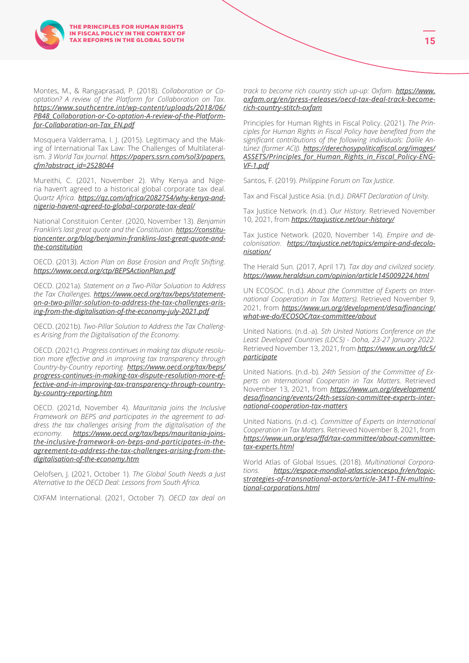

Mosquera Valderrama, I. J. (2015). Legitimacy and the Making of International Tax Law: The Challenges of Multilateralism. *3 World Tax Journal. [https://papers.ssrn.com/sol3/papers.](https://papers.ssrn.com/sol3/papers.cfm?abstract_id=2528044) [cfm?abstract\\_id=2528044](https://papers.ssrn.com/sol3/papers.cfm?abstract_id=2528044)*

Mureithi, C. (2021, November 2). Why Kenya and Nigeria haven't agreed to a historical global corporate tax deal. *Quartz Africa. [https://qz.com/africa/2082754/why-kenya-and](https://qz.com/africa/2082754/why-kenya-and-nigeria-havent-agreed-to-global-corporate-tax-deal/)[nigeria-havent-agreed-to-global-corporate-tax-deal/](https://qz.com/africa/2082754/why-kenya-and-nigeria-havent-agreed-to-global-corporate-tax-deal/)*

National Constituion Center. (2020, November 13). *Benjamin Franklin's last great quote and the Constitution. [https://constitu](https://constitutioncenter.org/blog/benjamin-franklins-last-great-quote-and-the-constitution)[tioncenter.org/blog/benjamin-franklins-last-great-quote-and](https://constitutioncenter.org/blog/benjamin-franklins-last-great-quote-and-the-constitution)[the-constitution](https://constitutioncenter.org/blog/benjamin-franklins-last-great-quote-and-the-constitution)*

OECD. (2013). *Action Plan on Base Erosion and Profit Shifting. <https://www.oecd.org/ctp/BEPSActionPlan.pdf>*

OECD. (2021a). *Statement on a Two-Pillar Soluation to Address the Tax Challenges. [https://www.oecd.org/tax/beps/statement](https://www.oecd.org/tax/beps/statement-on-a-two-pillar-solution-to-address-the-tax-challenges-arising-from-the-digitalisation-of-the-economy-july-2021.pdf)[on-a-two-pillar-solution-to-address-the-tax-challenges-aris](https://www.oecd.org/tax/beps/statement-on-a-two-pillar-solution-to-address-the-tax-challenges-arising-from-the-digitalisation-of-the-economy-july-2021.pdf)[ing-from-the-digitalisation-of-the-economy-july-2021.pdf](https://www.oecd.org/tax/beps/statement-on-a-two-pillar-solution-to-address-the-tax-challenges-arising-from-the-digitalisation-of-the-economy-july-2021.pdf)*

OECD. (2021b). *Two-Pillar Solution to Address the Tax Challenges Arising from the Digitalisation of the Economy.*

OECD. (2021c). *Progress continues in making tax dispute resolution more effective and in improving tax transparency through Country-by-Country reporting. [https://www.oecd.org/tax/beps/](https://www.oecd.org/tax/beps/progress-continues-in-making-tax-dispute-resolution-more-effective-and-in-improving-tax-transparency-through-country-by-country-reporting.htm) [progress-continues-in-making-tax-dispute-resolution-more-ef](https://www.oecd.org/tax/beps/progress-continues-in-making-tax-dispute-resolution-more-effective-and-in-improving-tax-transparency-through-country-by-country-reporting.htm)[fective-and-in-improving-tax-transparency-through-country](https://www.oecd.org/tax/beps/progress-continues-in-making-tax-dispute-resolution-more-effective-and-in-improving-tax-transparency-through-country-by-country-reporting.htm)[by-country-reporting.htm](https://www.oecd.org/tax/beps/progress-continues-in-making-tax-dispute-resolution-more-effective-and-in-improving-tax-transparency-through-country-by-country-reporting.htm)*

OECD. (2021d, November 4). *Mauritania joins the Inclusive Framework on BEPS and participates in the agreement to address the tax challenges arising from the digitalisation of the economy. [https://www.oecd.org/tax/beps/mauritania-joins](https://www.oecd.org/tax/beps/mauritania-joins-the-inclusive-framework-on-beps-and-participates-in-the-agreement-to-address-the-tax-challenges-arising-from-the-digitalisation-of-the-economy.htm)[the-inclusive-framework-on-beps-and-participates-in-the](https://www.oecd.org/tax/beps/mauritania-joins-the-inclusive-framework-on-beps-and-participates-in-the-agreement-to-address-the-tax-challenges-arising-from-the-digitalisation-of-the-economy.htm)[agreement-to-address-the-tax-challenges-arising-from-the](https://www.oecd.org/tax/beps/mauritania-joins-the-inclusive-framework-on-beps-and-participates-in-the-agreement-to-address-the-tax-challenges-arising-from-the-digitalisation-of-the-economy.htm)[digitalisation-of-the-economy.htm](https://www.oecd.org/tax/beps/mauritania-joins-the-inclusive-framework-on-beps-and-participates-in-the-agreement-to-address-the-tax-challenges-arising-from-the-digitalisation-of-the-economy.htm)*

Oelofsen, J. (2021, October 1). *The Global South Needs a Just Alternative to the OECD Deal: Lessons from South Africa.*

OXFAM International. (2021, October 7). *OECD tax deal on* 

*track to become rich country stich up-up: Oxfam. [https://www.](https://www.oxfam.org/en/press-releases/oecd-tax-deal-track-become-rich-country-stitch-oxfam) [oxfam.org/en/press-releases/oecd-tax-deal-track-become](https://www.oxfam.org/en/press-releases/oecd-tax-deal-track-become-rich-country-stitch-oxfam)[rich-country-stitch-oxfam](https://www.oxfam.org/en/press-releases/oecd-tax-deal-track-become-rich-country-stitch-oxfam)*

Principles for Human Rights in Fiscal Policy. (2021). *The Principles for Human Rights in Fiscal Policy have benefited from the significant contributions of the following individuals: Dalile Antúnez (former ACIJ). [https://derechosypoliticafiscal.org/images/](https://derechosypoliticafiscal.org/images/ASSETS/Principles_for_Human_Rights_in_Fiscal_Policy-ENG-VF-1.pdf) [ASSETS/Principles\\_for\\_Human\\_Rights\\_in\\_Fiscal\\_Policy-ENG-](https://derechosypoliticafiscal.org/images/ASSETS/Principles_for_Human_Rights_in_Fiscal_Policy-ENG-VF-1.pdf)[VF-1.pdf](https://derechosypoliticafiscal.org/images/ASSETS/Principles_for_Human_Rights_in_Fiscal_Policy-ENG-VF-1.pdf)*

Santos, F. (2019). *Philippine Forum on Tax Justice*.

Tax and Fiscal Justice Asia. (n.d*.). DRAFT Declaration of Unity.*

Tax Justice Network. (n.d.). *Our History.* Retrieved November 10, 2021, from *<https://taxjustice.net/our-history/>*

Tax Justice Network. (2020, November 14). *Empire and decolonisation*. *[https://taxjustice.net/topics/empire-and-decolo](https://taxjustice.net/topics/empire-and-decolonisation/)[nisation/](https://taxjustice.net/topics/empire-and-decolonisation/)*

The Herald Sun. (2017, April 17). *Tax day and civilized society. <https://www.heraldsun.com/opinion/article145009224.html>*

UN ECOSOC. (n.d.). *About (the Committee of Experts on International Cooperation in Tax Matters).* Retrieved November 9, 2021, from *[https://www.un.org/development/desa/financing/](https://www.un.org/development/desa/financing/what-we-do/ECOSOC/tax-committee/about) [what-we-do/ECOSOC/tax-committee/about](https://www.un.org/development/desa/financing/what-we-do/ECOSOC/tax-committee/about)*

United Nations. (n.d.-a). *5th United Nations Conference on the Least Developed Countries (LDC5) - Doha, 23-27 January 2022.*  Retrieved November 13, 2021, from *<https://www.un.org/ldc5/> [participate](https://www.un.org/ldc5/)*

United Nations. (n.d.-b). *24th Session of the Committee of Experts on International Cooperatin in Tax Matters.* Retrieved November 13, 2021, from *[https://www.un.org/development/](https://www.un.org/development/desa/financing/events/24th-session-committee-experts-international-cooperation-tax-matters) [desa/financing/events/24th-session-committee-experts-inter](https://www.un.org/development/desa/financing/events/24th-session-committee-experts-international-cooperation-tax-matters)[national-cooperation-tax-matters](https://www.un.org/development/desa/financing/events/24th-session-committee-experts-international-cooperation-tax-matters)*

United Nations. (n.d.-c). *Committee of Experts on International Cooperation in Tax Matters.* Retrieved November 8, 2021, from *[https://www.un.org/esa/ffd/tax-committee/about-committee](https://www.un.org/esa/ffd/tax-committee/about-committee-tax-experts.html)[tax-experts.html](https://www.un.org/esa/ffd/tax-committee/about-committee-tax-experts.html)*

World Atlas of Global Issues. (2018). *Multinational Corporations. [https://espace-mondial-atlas.sciencespo.fr/en/topic](https://espace-mondial-atlas.sciencespo.fr/en/topic-strategies-of-transnational-actors/article-3A11-EN-multinational-corporations.html)[strategies-of-transnational-actors/article-3A11-EN-multina](https://espace-mondial-atlas.sciencespo.fr/en/topic-strategies-of-transnational-actors/article-3A11-EN-multinational-corporations.html)[tional-corporations.html](https://espace-mondial-atlas.sciencespo.fr/en/topic-strategies-of-transnational-actors/article-3A11-EN-multinational-corporations.html)*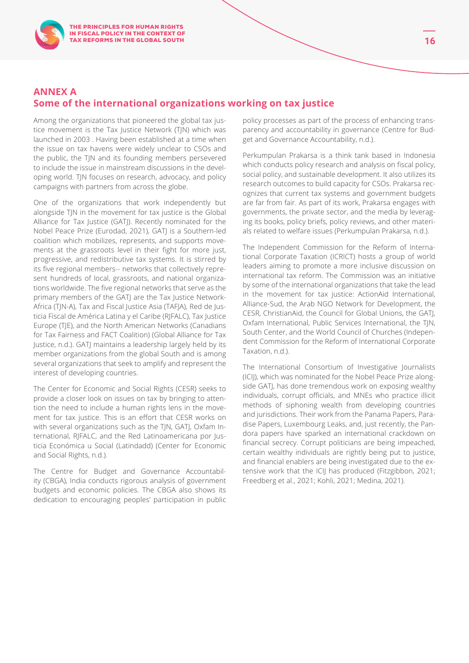## **ANNEX A Some of the international organizations working on tax justice**

Among the organizations that pioneered the global tax justice movement is the Tax Justice Network (TJN) which was launched in 2003 . Having been established at a time when the issue on tax havens were widely unclear to CSOs and the public, the TJN and its founding members persevered to include the issue in mainstream discussions in the developing world. TJN focuses on research, advocacy, and policy campaigns with partners from across the globe.

One of the organizations that work independently but alongside TJN in the movement for tax justice is the Global Alliance for Tax Justice (GATJ). Recently nominated for the Nobel Peace Prize (Eurodad, 2021), GATJ is a Southern-led coalition which mobilizes, represents, and supports movements at the grassroots level in their fight for more just, progressive, and redistributive tax systems. It is stirred by its five regional members-- networks that collectively represent hundreds of local, grassroots, and national organizations worldwide. The five regional networks that serve as the primary members of the GATJ are the Tax Justice Network-Africa (TJN-A), Tax and Fiscal Justice Asia (TAFJA), Red de Justicia Fiscal de América Latina y el Caribe (RJFALC), Tax Justice Europe (TJE), and the North American Networks (Canadians for Tax Fairness and FACT Coalition) (Global Alliance for Tax Justice, n.d.). GATJ maintains a leadership largely held by its member organizations from the global South and is among several organizations that seek to amplify and represent the interest of developing countries.

The Center for Economic and Social Rights (CESR) seeks to provide a closer look on issues on tax by bringing to attention the need to include a human rights lens in the movement for tax justice. This is an effort that CESR works on with several organizations such as the TJN, GATJ, Oxfam International, RJFALC, and the Red Latinoamericana por Justicia Económica u Social (Latindadd) (Center for Economic and Social Rights, n.d.).

The Centre for Budget and Governance Accountability (CBGA), India conducts rigorous analysis of government budgets and economic policies. The CBGA also shows its dedication to encouraging peoples' participation in public policy processes as part of the process of enhancing transparency and accountability in governance (Centre for Budget and Governance Accountability, n.d.).

Perkumpulan Prakarsa is a think tank based in Indonesia which conducts policy research and analysis on fiscal policy, social policy, and sustainable development. It also utilizes its research outcomes to build capacity for CSOs. Prakarsa recognizes that current tax systems and government budgets are far from fair. As part of its work, Prakarsa engages with governments, the private sector, and the media by leveraging its books, policy briefs, policy reviews, and other materials related to welfare issues (Perkumpulan Prakarsa, n.d.).

The Independent Commission for the Reform of International Corporate Taxation (ICRICT) hosts a group of world leaders aiming to promote a more inclusive discussion on international tax reform. The Commission was an initiative by some of the international organizations that take the lead in the movement for tax justice: ActionAid International, Alliance-Sud, the Arab NGO Network for Development, the CESR, ChristianAid, the Council for Global Unions, the GATJ, Oxfam International, Public Services International, the TJN, South Center, and the World Council of Churches (Independent Commission for the Reform of International Corporate Taxation, n.d.).

The International Consortium of Investigative Journalists (ICIJ), which was nominated for the Nobel Peace Prize alongside GATJ, has done tremendous work on exposing wealthy individuals, corrupt officials, and MNEs who practice illicit methods of siphoning wealth from developing countries and jurisdictions. Their work from the Panama Papers, Paradise Papers, Luxembourg Leaks, and, just recently, the Pandora papers have sparked an international crackdown on financial secrecy. Corrupt politicians are being impeached, certain wealthy individuals are rightly being put to justice, and financial enablers are being investigated due to the extensive work that the ICIJ has produced (Fitzgibbon, 2021; Freedberg et al., 2021; Kohli, 2021; Medina, 2021).